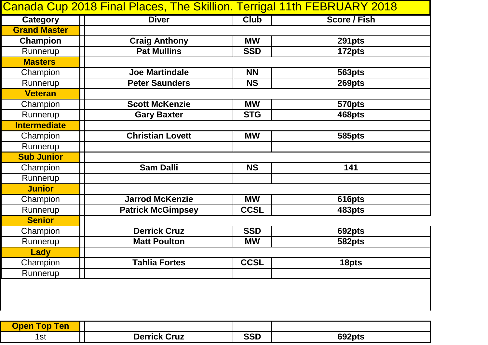|                     | Canada Cup 2018 Final Places, The Skillion. Terrigal 11th FEBRUARY 2018 |             |                     |
|---------------------|-------------------------------------------------------------------------|-------------|---------------------|
| <b>Category</b>     | <b>Diver</b>                                                            | <b>Club</b> | <b>Score / Fish</b> |
| <b>Grand Master</b> |                                                                         |             |                     |
| <b>Champion</b>     | <b>Craig Anthony</b>                                                    | <b>MW</b>   | 291pts              |
| Runnerup            | <b>Pat Mullins</b>                                                      | <b>SSD</b>  | 172pts              |
| <b>Masters</b>      |                                                                         |             |                     |
| Champion            | <b>Joe Martindale</b>                                                   | <b>NN</b>   | 563pts              |
| Runnerup            | <b>Peter Saunders</b>                                                   | <b>NS</b>   | 269pts              |
| <b>Veteran</b>      |                                                                         |             |                     |
| Champion            | <b>Scott McKenzie</b>                                                   | <b>MW</b>   | 570pts              |
| Runnerup            | <b>Gary Baxter</b>                                                      | <b>STG</b>  | 468pts              |
| <b>Intermediate</b> |                                                                         |             |                     |
| Champion            | <b>Christian Lovett</b>                                                 | <b>MW</b>   | 585pts              |
| Runnerup            |                                                                         |             |                     |
| <b>Sub Junior</b>   |                                                                         |             |                     |
| Champion            | <b>Sam Dalli</b>                                                        | <b>NS</b>   | 141                 |
| Runnerup            |                                                                         |             |                     |
| <b>Junior</b>       |                                                                         |             |                     |
| Champion            | <b>Jarrod McKenzie</b>                                                  | <b>MW</b>   | 616pts              |
| Runnerup            | <b>Patrick McGimpsey</b>                                                | <b>CCSL</b> | 483pts              |
| <b>Senior</b>       |                                                                         |             |                     |
| Champion            | <b>Derrick Cruz</b>                                                     | <b>SSD</b>  | 692pts              |
| Runnerup            | <b>Matt Poulton</b>                                                     | <b>MW</b>   | 582pts              |
| <b>Lady</b>         |                                                                         |             |                     |
| Champion            | <b>Tahlia Fortes</b>                                                    | <b>CCSL</b> | 18pts               |
| Runnerup            |                                                                         |             |                     |
|                     |                                                                         |             |                     |

| <b>Ten</b><br><b>Shop</b><br>op |                      |                   |                           |
|---------------------------------|----------------------|-------------------|---------------------------|
| 1st                             | Cruz<br>)err<br>rick | <b>COD</b><br>၁၁၊ | <sub>ີ</sub> ດ2pts<br>692 |